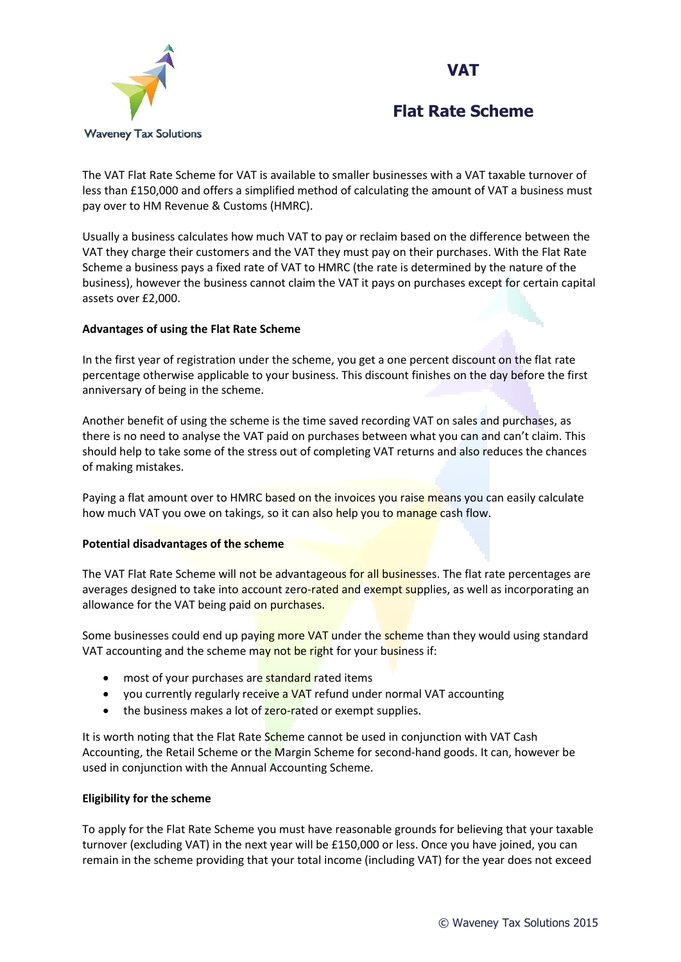



The VAT Flat Rate Scheme for VAT is available to smaller businesses with a VAT taxable turnover of less than £150,000 and offers a simplified method of calculating the amount of VAT a business must pay over to HM Revenue & Customs (HMRC).

Usually a business calculates how much VAT to pay or reclaim based on the difference between the VAT they charge their customers and the VAT they must pay on their purchases. With the Flat Rate Scheme a business pays a fixed rate of VAT to HMRC (the rate is determined by the nature of the business), however the business cannot claim the VAT it pays on purchases except for certain capital assets over £2,000.

### **Advantages of using the Flat Rate Scheme**

In the first year of registration under the scheme, you get a one percent discount on the flat rate percentage otherwise applicable to your business. This discount finishes on the day before the first anniversary of being in the scheme.

Another benefit of using the scheme is the time saved recording VAT on sales and purchases, as there is no need to analyse the VAT paid on purchases between what you can and can't claim. This should help to take some of the stress out of completing VAT returns and also reduces the chances of making mistakes.

Paying a flat amount over to HMRC based on the invoices you raise means you can easily calculate how much VAT you owe on takings, so it can also help you to manage cash flow.

### **Potential disadvantages of the scheme**

The VAT Flat Rate Scheme will not be advantageous for all businesses. The flat rate percentages are averages designed to take into account zero-rated and exempt supplies, as well as incorporating an allowance for the VAT being paid on purchases.

Some businesses could end up paying more VAT under the scheme than they would using standard VAT accounting and the scheme may not be right for your business if:

- most of your purchases are **standard** rated items
- you currently regularly receive a VAT refund under normal VAT accounting
- the business makes a lot of zero-rated or exempt supplies.

It is worth noting that the Flat Rate Scheme cannot be used in conjunction with VAT Cash Accounting, the Retail Scheme or the Margin Scheme for second-hand goods. It can, however be used in conjunction with the Annual Accounting Scheme.

### **Eligibility for the scheme**

To apply for the Flat Rate Scheme you must have reasonable grounds for believing that your taxable turnover (excluding VAT) in the next year will be £150,000 or less. Once you have joined, you can remain in the scheme providing that your total income (including VAT) for the year does not exceed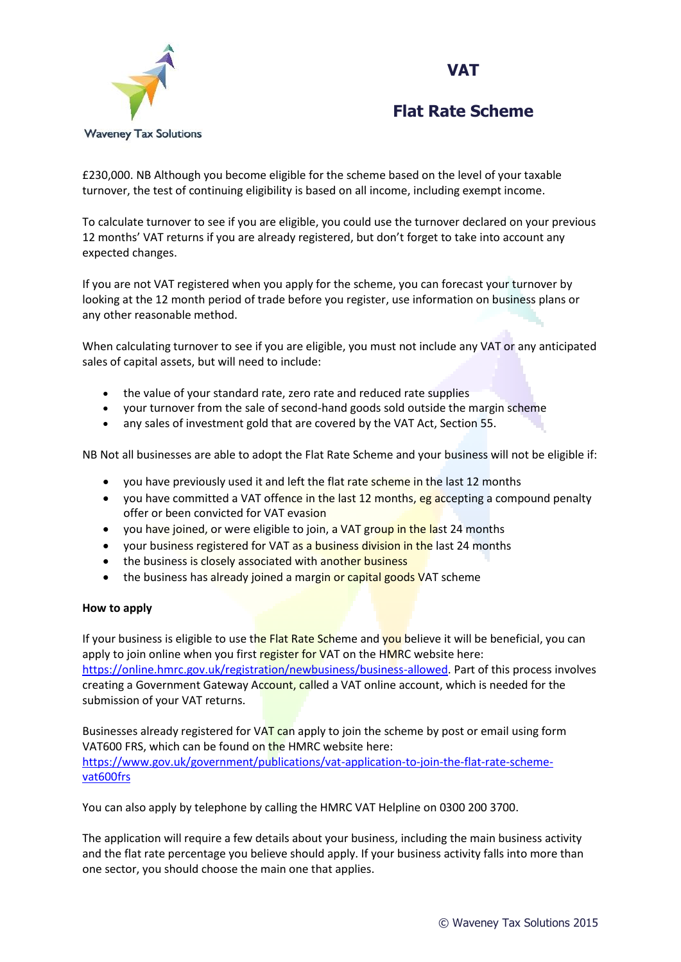



£230,000. NB Although you become eligible for the scheme based on the level of your taxable turnover, the test of continuing eligibility is based on all income, including exempt income.

To calculate turnover to see if you are eligible, you could use the turnover declared on your previous 12 months' VAT returns if you are already registered, but don't forget to take into account any expected changes.

If you are not VAT registered when you apply for the scheme, you can forecast your turnover by looking at the 12 month period of trade before you register, use information on business plans or any other reasonable method.

When calculating turnover to see if you are eligible, you must not include any VAT or any anticipated sales of capital assets, but will need to include:

- the value of your standard rate, zero rate and reduced rate supplies
- your turnover from the sale of second-hand goods sold outside the margin scheme
- any sales of investment gold that are covered by the VAT Act, Section 55.

NB Not all businesses are able to adopt the Flat Rate Scheme and your business will not be eligible if:

- you have previously used it and left the flat rate scheme in the last 12 months
- you have committed a VAT offence in the last 12 months, eg accepting a compound penalty offer or been convicted for VAT evasion
- you have joined, or were eligible to join, a VAT group in the last 24 months
- your business registered for VAT as a business division in the last 24 months
- the business i[s closely associated with another business](https://www.gov.uk/government/publications/vat-notice-733-flat-rate-scheme-for-small-businesses/vat-notice-733-flat-rate-scheme-for-small-businesses#what-if-my-business-is-closely-linked-with-another-business)
- the business has already joined a margin or capital goods VAT scheme

### **How to apply**

If your business is eligible to use the Flat Rate Scheme and you believe it will be beneficial, you can apply to join online when you first register for VAT on the HMRC website here: [https://online.hmrc.gov.uk/registration/newbusiness/business-allowed.](https://online.hmrc.gov.uk/registration/newbusiness/business-allowed) Part of this process involves creating a Government Gateway Account, called a VAT online account, which is needed for the submission of your VAT returns.

Businesses already registered for VAT can apply to join the scheme by post or email using form VAT600 FRS, which can be found on the HMRC website here: [https://www.gov.uk/government/publications/vat-application-to-join-the-flat-rate-scheme](https://www.gov.uk/government/publications/vat-application-to-join-the-flat-rate-scheme-vat600frs)[vat600frs](https://www.gov.uk/government/publications/vat-application-to-join-the-flat-rate-scheme-vat600frs)

You can also apply by telephone by calling the HMRC VAT Helpline on 0300 200 3700.

The application will require a few details about your business, including the main business activity and the flat rate percentage you believe should apply. If your business activity falls into more than one sector, you should choose the main one that applies.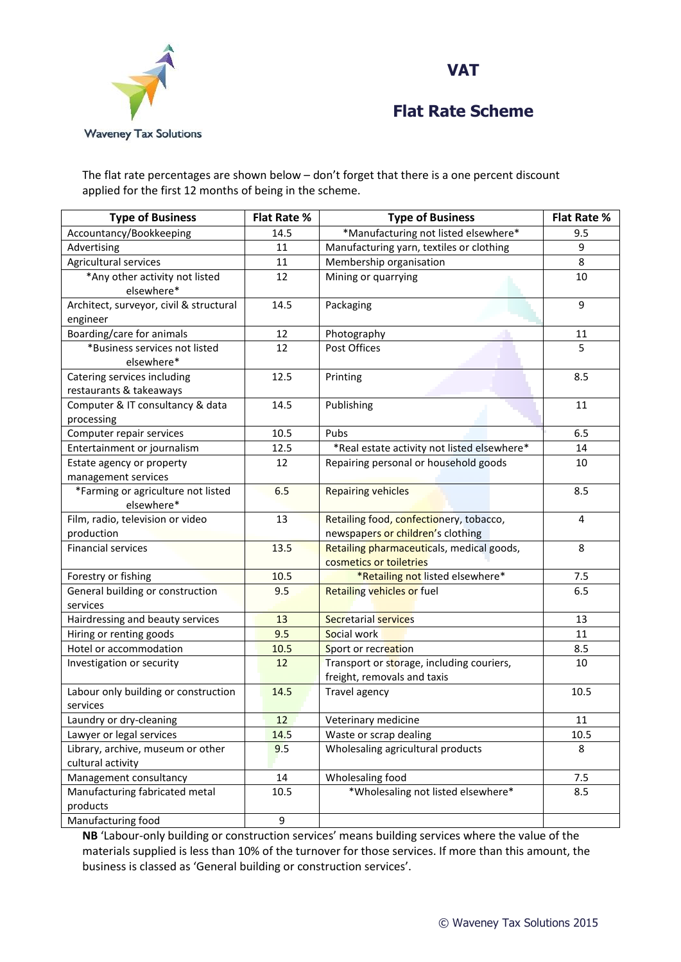



The flat rate percentages are shown below – don't forget that there is a one percent discount applied for the first 12 months of being in the scheme.

| <b>Type of Business</b>                                     | <b>Flat Rate %</b> | <b>Type of Business</b>                                                  | <b>Flat Rate %</b> |
|-------------------------------------------------------------|--------------------|--------------------------------------------------------------------------|--------------------|
| Accountancy/Bookkeeping                                     | 14.5               | *Manufacturing not listed elsewhere*                                     | 9.5                |
| Advertising                                                 | 11                 | Manufacturing yarn, textiles or clothing                                 | 9                  |
| Agricultural services                                       | 11                 | Membership organisation                                                  | 8                  |
| *Any other activity not listed                              | 12                 | Mining or quarrying                                                      | 10                 |
| elsewhere*                                                  |                    |                                                                          |                    |
| Architect, surveyor, civil & structural                     | 14.5               | Packaging                                                                | 9                  |
| engineer                                                    |                    |                                                                          |                    |
| Boarding/care for animals                                   | 12                 | Photography                                                              | 11                 |
| *Business services not listed                               | 12                 | Post Offices                                                             | 5                  |
| elsewhere*                                                  |                    |                                                                          |                    |
| Catering services including                                 | 12.5               | Printing                                                                 | 8.5                |
| restaurants & takeaways<br>Computer & IT consultancy & data | 14.5               | Publishing                                                               | 11                 |
| processing                                                  |                    |                                                                          |                    |
| Computer repair services                                    | 10.5               | Pubs                                                                     | 6.5                |
| Entertainment or journalism                                 | 12.5               | *Real estate activity not listed elsewhere*                              | 14                 |
| Estate agency or property                                   | 12                 | Repairing personal or household goods                                    | 10                 |
| management services                                         |                    |                                                                          |                    |
| *Farming or agriculture not listed                          | 6.5                | <b>Repairing vehicles</b>                                                | 8.5                |
| elsewhere*                                                  |                    |                                                                          |                    |
| Film, radio, television or video                            | 13                 | Retailing food, confectionery, tobacco,                                  | 4                  |
| production                                                  |                    | newspapers or children's clothing                                        |                    |
| <b>Financial services</b>                                   | 13.5               | Retailing pharmaceuticals, medical goods,                                | 8                  |
|                                                             |                    | cosmetics or toiletries                                                  |                    |
| Forestry or fishing                                         | 10.5               | *Retailing not listed elsewhere*                                         | 7.5                |
| General building or construction                            | 9.5                | <b>Retailing vehicles or fuel</b>                                        | 6.5                |
| services                                                    |                    |                                                                          |                    |
| Hairdressing and beauty services                            | 13                 | <b>Secretarial services</b>                                              | 13                 |
| Hiring or renting goods                                     | 9.5                | Social work                                                              | 11                 |
| Hotel or accommodation                                      | 10.5               | Sport or recreation                                                      | 8.5                |
| Investigation or security                                   | 12                 | Transport or storage, including couriers,<br>freight, removals and taxis | 10                 |
| Labour only building or construction                        | 14.5               | Travel agency                                                            | 10.5               |
| services                                                    |                    |                                                                          |                    |
| Laundry or dry-cleaning                                     | 12                 | Veterinary medicine                                                      | 11                 |
| Lawyer or legal services                                    | 14.5               | Waste or scrap dealing                                                   | 10.5               |
| Library, archive, museum or other                           | 9.5                | Wholesaling agricultural products                                        | 8                  |
| cultural activity                                           |                    |                                                                          |                    |
| Management consultancy                                      | 14                 | Wholesaling food                                                         | 7.5                |
| Manufacturing fabricated metal                              | 10.5               | *Wholesaling not listed elsewhere*                                       | 8.5                |
| products                                                    |                    |                                                                          |                    |
| Manufacturing food                                          | 9                  |                                                                          |                    |

**NB** 'Labour-only building or construction services' means building services where the value of the materials supplied is less than 10% of the turnover for those services. If more than this amount, the business is classed as 'General building or construction services'.